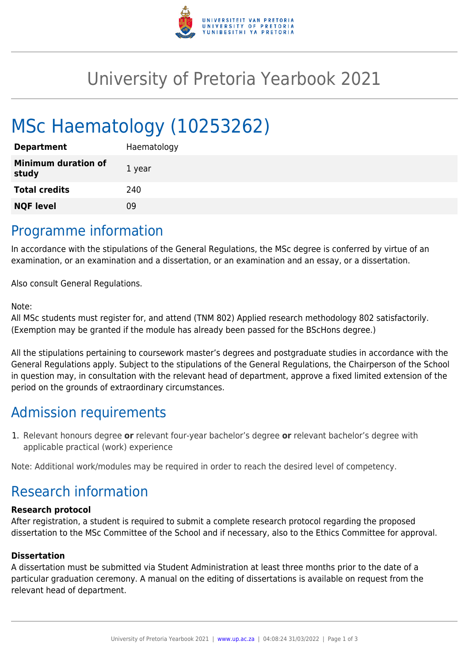

## University of Pretoria Yearbook 2021

# MSc Haematology (10253262)

| <b>Department</b>                   | Haematology |
|-------------------------------------|-------------|
| <b>Minimum duration of</b><br>study | 1 year      |
| <b>Total credits</b>                | 240         |
| <b>NQF level</b>                    | 09          |
|                                     |             |

### Programme information

In accordance with the stipulations of the General Regulations, the MSc degree is conferred by virtue of an examination, or an examination and a dissertation, or an examination and an essay, or a dissertation.

Also consult General Regulations.

#### Note:

All MSc students must register for, and attend (TNM 802) Applied research methodology 802 satisfactorily. (Exemption may be granted if the module has already been passed for the BScHons degree.)

All the stipulations pertaining to coursework master's degrees and postgraduate studies in accordance with the General Regulations apply. Subject to the stipulations of the General Regulations, the Chairperson of the School in question may, in consultation with the relevant head of department, approve a fixed limited extension of the period on the grounds of extraordinary circumstances.

## Admission requirements

1. Relevant honours degree **or** relevant four-year bachelor's degree **or** relevant bachelor's degree with applicable practical (work) experience

Note: Additional work/modules may be required in order to reach the desired level of competency.

## Research information

#### **Research protocol**

After registration, a student is required to submit a complete research protocol regarding the proposed dissertation to the MSc Committee of the School and if necessary, also to the Ethics Committee for approval.

#### **Dissertation**

A dissertation must be submitted via Student Administration at least three months prior to the date of a particular graduation ceremony. A manual on the editing of dissertations is available on request from the relevant head of department.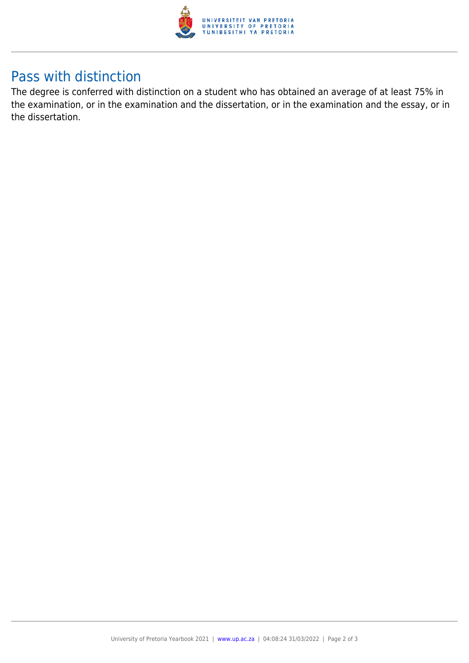

## Pass with distinction

The degree is conferred with distinction on a student who has obtained an average of at least 75% in the examination, or in the examination and the dissertation, or in the examination and the essay, or in the dissertation.